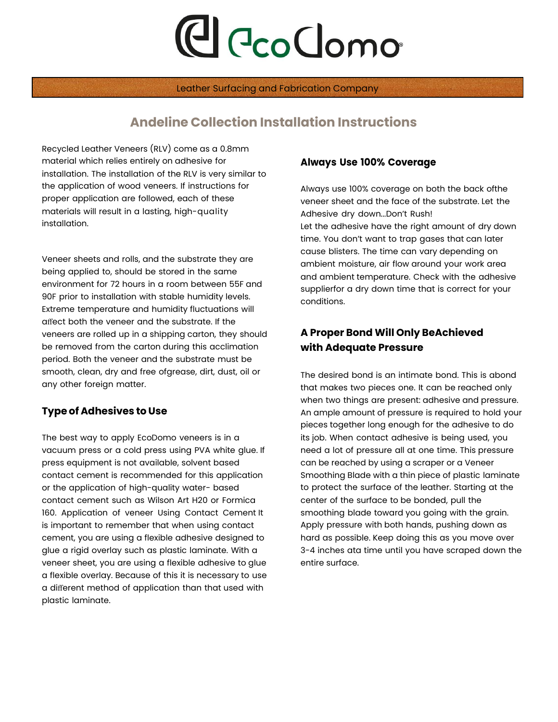# **C** CcoClomo

Leather Surfacing and Fabrication Company

## **Andeline Collection Installation Instructions**

Recycled Leather Veneers (RLV) come as a 0.8mm material which relies entirely on adhesive for installation. The installation of the RLV is very similar to the application of wood veneers. If instructions for proper application are followed, each of these materials will result in a lasting, high-quality installation.

Veneer sheets and rolls, and the substrate they are being applied to, should be stored in the same environment for 72 hours in a room between 55F and 90F prior to installation with stable humidity levels. Extreme temperature and humidity fluctuations will affect both the veneer and the substrate. If the veneers are rolled up in a shipping carton, they should be removed from the carton during this acclimation period. Both the veneer and the substrate must be smooth, clean, dry and free ofgrease, dirt, dust, oil or any other foreign matter.

### **Type of Adhesives to Use**

The best way to apply EcoDomo veneers is in a vacuum press or a cold press using PVA white glue. If press equipment is not available, solvent based contact cement is recommended for this application or the application of high-quality water- based contact cement such as Wilson Art H20 or Formica 160. Application of veneer Using Contact Cement It is important to remember that when using contact cement, you are using a flexible adhesive designed to glue a rigid overlay such as plastic laminate. With a veneer sheet, you are using a flexible adhesive to glue a flexible overlay. Because of this it is necessary to use a different method of application than that used with plastic laminate.

#### **Always Use 100% Coverage**

Always use 100% coverage on both the back ofthe veneer sheet and the face of the substrate. Let the Adhesive dry down...Don't Rush! Let the adhesive have the right amount of dry down time. You don't want to trap gases that can later cause blisters. The time can vary depending on ambient moisture, air flow around your work area and ambient temperature. Check with the adhesive supplierfor a dry down time that is correct for your conditions.

## **A Proper Bond Will Only BeAchieved with Adequate Pressure**

The desired bond is an intimate bond. This is abond that makes two pieces one. It can be reached only when two things are present: adhesive and pressure. An ample amount of pressure is required to hold your pieces together long enough for the adhesive to do its job. When contact adhesive is being used, you need a lot of pressure all at one time. This pressure can be reached by using a scraper or a Veneer Smoothing Blade with a thin piece of plastic laminate to protect the surface of the leather. Starting at the center of the surface to be bonded, pull the smoothing blade toward you going with the grain. Apply pressure with both hands, pushing down as hard as possible. Keep doing this as you move over 3-4 inches ata time until you have scraped down the entire surface.